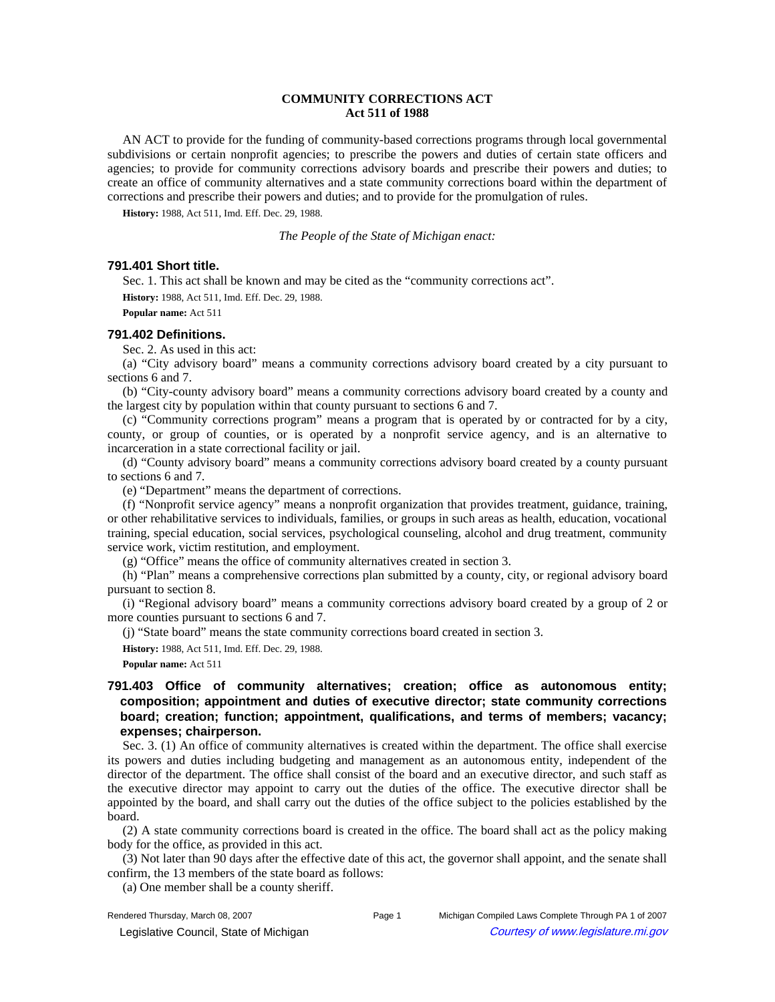# **COMMUNITY CORRECTIONS ACT Act 511 of 1988**

AN ACT to provide for the funding of community-based corrections programs through local governmental subdivisions or certain nonprofit agencies; to prescribe the powers and duties of certain state officers and agencies; to provide for community corrections advisory boards and prescribe their powers and duties; to create an office of community alternatives and a state community corrections board within the department of corrections and prescribe their powers and duties; and to provide for the promulgation of rules.

**History:** 1988, Act 511, Imd. Eff. Dec. 29, 1988.

*The People of the State of Michigan enact:*

## **791.401 Short title.**

Sec. 1. This act shall be known and may be cited as the "community corrections act".

**History:** 1988, Act 511, Imd. Eff. Dec. 29, 1988.

**Popular name:** Act 511

## **791.402 Definitions.**

Sec. 2. As used in this act:

(a) "City advisory board" means a community corrections advisory board created by a city pursuant to sections 6 and 7.

(b) "City-county advisory board" means a community corrections advisory board created by a county and the largest city by population within that county pursuant to sections 6 and 7.

(c) "Community corrections program" means a program that is operated by or contracted for by a city, county, or group of counties, or is operated by a nonprofit service agency, and is an alternative to incarceration in a state correctional facility or jail.

(d) "County advisory board" means a community corrections advisory board created by a county pursuant to sections 6 and 7.

(e) "Department" means the department of corrections.

(f) "Nonprofit service agency" means a nonprofit organization that provides treatment, guidance, training, or other rehabilitative services to individuals, families, or groups in such areas as health, education, vocational training, special education, social services, psychological counseling, alcohol and drug treatment, community service work, victim restitution, and employment.

(g) "Office" means the office of community alternatives created in section 3.

(h) "Plan" means a comprehensive corrections plan submitted by a county, city, or regional advisory board pursuant to section 8.

(i) "Regional advisory board" means a community corrections advisory board created by a group of 2 or more counties pursuant to sections 6 and 7.

(j) "State board" means the state community corrections board created in section 3.

**History:** 1988, Act 511, Imd. Eff. Dec. 29, 1988.

**Popular name:** Act 511

# **791.403 Office of community alternatives; creation; office as autonomous entity; composition; appointment and duties of executive director; state community corrections board; creation; function; appointment, qualifications, and terms of members; vacancy; expenses; chairperson.**

Sec. 3. (1) An office of community alternatives is created within the department. The office shall exercise its powers and duties including budgeting and management as an autonomous entity, independent of the director of the department. The office shall consist of the board and an executive director, and such staff as the executive director may appoint to carry out the duties of the office. The executive director shall be appointed by the board, and shall carry out the duties of the office subject to the policies established by the board.

(2) A state community corrections board is created in the office. The board shall act as the policy making body for the office, as provided in this act.

 $(3)$  Not later than  $90$  days after the effective date of this act, the governor shall appoint, and the senate shall confirm, the 13 members of the state board as follows:

(a) One member shall be a county sheriff.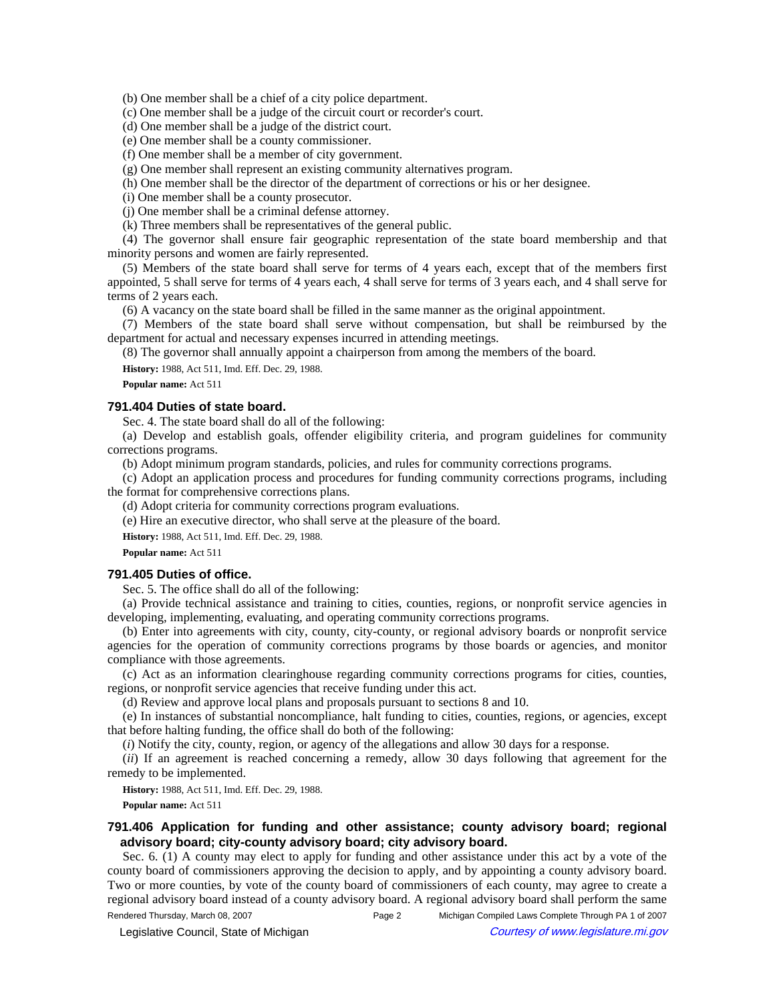(b) One member shall be a chief of a city police department.

(c) One member shall be a judge of the circuit court or recorder's court.

(d) One member shall be a judge of the district court.

(e) One member shall be a county commissioner.

(f) One member shall be a member of city government.

(g) One member shall represent an existing community alternatives program.

(h) One member shall be the director of the department of corrections or his or her designee.

(i) One member shall be a county prosecutor.

(j) One member shall be a criminal defense attorney.

(k) Three members shall be representatives of the general public.

(4) The governor shall ensure fair geographic representation of the state board membership and that minority persons and women are fairly represented.

(5) Members of the state board shall serve for terms of 4 years each, except that of the members first appointed, 5 shall serve for terms of 4 years each, 4 shall serve for terms of 3 years each, and 4 shall serve for terms of 2 years each.

(6) A vacancy on the state board shall be filled in the same manner as the original appointment.

(7) Members of the state board shall serve without compensation, but shall be reimbursed by the department for actual and necessary expenses incurred in attending meetings.

(8) The governor shall annually appoint a chairperson from among the members of the board.

**History:** 1988, Act 511, Imd. Eff. Dec. 29, 1988.

**Popular name:** Act 511

### **791.404 Duties of state board.**

Sec. 4. The state board shall do all of the following:

(a) Develop and establish goals, offender eligibility criteria, and program guidelines for community corrections programs.

(b) Adopt minimum program standards, policies, and rules for community corrections programs.

(c) Adopt an application process and procedures for funding community corrections programs, including the format for comprehensive corrections plans.

(d) Adopt criteria for community corrections program evaluations.

(e) Hire an executive director, who shall serve at the pleasure of the board.

**History:** 1988, Act 511, Imd. Eff. Dec. 29, 1988.

**Popular name:** Act 511

#### **791.405 Duties of office.**

Sec. 5. The office shall do all of the following:

(a) Provide technical assistance and training to cities, counties, regions, or nonprofit service agencies in developing, implementing, evaluating, and operating community corrections programs.

(b) Enter into agreements with city, county, city-county, or regional advisory boards or nonprofit service agencies for the operation of community corrections programs by those boards or agencies, and monitor compliance with those agreements.

(c) Act as an information clearinghouse regarding community corrections programs for cities, counties, regions, or nonprofit service agencies that receive funding under this act.

(d) Review and approve local plans and proposals pursuant to sections 8 and 10.

(e) In instances of substantial noncompliance, halt funding to cities, counties, regions, or agencies, except that before halting funding, the office shall do both of the following:

(*i*) Notify the city, county, region, or agency of the allegations and allow 30 days for a response.

(*ii*) If an agreement is reached concerning a remedy, allow 30 days following that agreement for the remedy to be implemented.

**History:** 1988, Act 511, Imd. Eff. Dec. 29, 1988.

**Popular name:** Act 511

# **791.406 Application for funding and other assistance; county advisory board; regional advisory board; city-county advisory board; city advisory board.**

Sec. 6. (1) A county may elect to apply for funding and other assistance under this act by a vote of the county board of commissioners approving the decision to apply, and by appointing a county advisory board. Two or more counties, by vote of the county board of commissioners of each county, may agree to create a regional advisory board instead of a county advisory board. A regional advisory board shall perform the same

Rendered Thursday, March 08, 2007 Page 2 Michigan Compiled Laws Complete Through PA 1 of 2007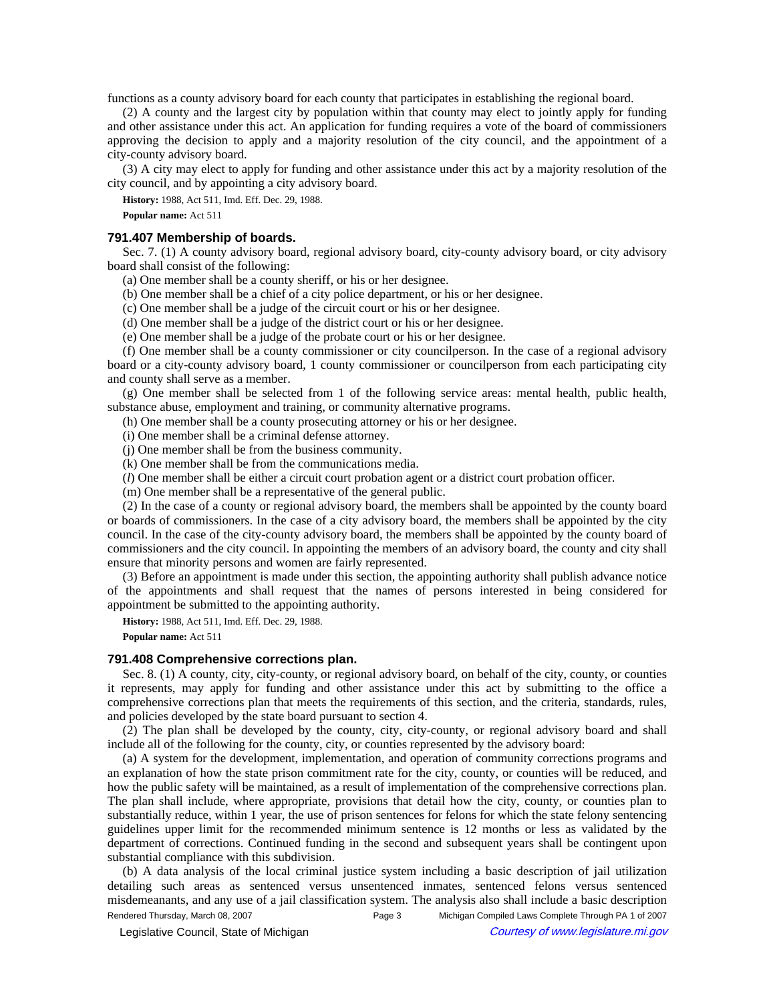functions as a county advisory board for each county that participates in establishing the regional board.

(2) A county and the largest city by population within that county may elect to jointly apply for funding and other assistance under this act. An application for funding requires a vote of the board of commissioners approving the decision to apply and a majority resolution of the city council, and the appointment of a city-county advisory board.

(3) A city may elect to apply for funding and other assistance under this act by a majority resolution of the city council, and by appointing a city advisory board.

**History:** 1988, Act 511, Imd. Eff. Dec. 29, 1988.

**Popular name:** Act 511

### **791.407 Membership of boards.**

Sec. 7. (1) A county advisory board, regional advisory board, city-county advisory board, or city advisory board shall consist of the following:

(a) One member shall be a county sheriff, or his or her designee.

(b) One member shall be a chief of a city police department, or his or her designee.

(c) One member shall be a judge of the circuit court or his or her designee.

(d) One member shall be a judge of the district court or his or her designee.

(e) One member shall be a judge of the probate court or his or her designee.

(f) One member shall be a county commissioner or city councilperson. In the case of a regional advisory board or a city-county advisory board, 1 county commissioner or councilperson from each participating city and county shall serve as a member.

(g) One member shall be selected from 1 of the following service areas: mental health, public health, substance abuse, employment and training, or community alternative programs.

(h) One member shall be a county prosecuting attorney or his or her designee.

(i) One member shall be a criminal defense attorney.

(j) One member shall be from the business community.

(k) One member shall be from the communications media.

(*l*) One member shall be either a circuit court probation agent or a district court probation officer.

(m) One member shall be a representative of the general public.

(2) In the case of a county or regional advisory board, the members shall be appointed by the county board or boards of commissioners. In the case of a city advisory board, the members shall be appointed by the city council. In the case of the city-county advisory board, the members shall be appointed by the county board of commissioners and the city council. In appointing the members of an advisory board, the county and city shall ensure that minority persons and women are fairly represented.

(3) Before an appointment is made under this section, the appointing authority shall publish advance notice of the appointments and shall request that the names of persons interested in being considered for appointment be submitted to the appointing authority.

**History:** 1988, Act 511, Imd. Eff. Dec. 29, 1988.

**Popular name:** Act 511

## **791.408 Comprehensive corrections plan.**

Sec. 8. (1) A county, city, city-county, or regional advisory board, on behalf of the city, county, or counties it represents, may apply for funding and other assistance under this act by submitting to the office a comprehensive corrections plan that meets the requirements of this section, and the criteria, standards, rules, and policies developed by the state board pursuant to section 4.

(2) The plan shall be developed by the county, city, city-county, or regional advisory board and shall include all of the following for the county, city, or counties represented by the advisory board:

(a) A system for the development, implementation, and operation of community corrections programs and an explanation of how the state prison commitment rate for the city, county, or counties will be reduced, and how the public safety will be maintained, as a result of implementation of the comprehensive corrections plan. The plan shall include, where appropriate, provisions that detail how the city, county, or counties plan to substantially reduce, within 1 year, the use of prison sentences for felons for which the state felony sentencing guidelines upper limit for the recommended minimum sentence is 12 months or less as validated by the department of corrections. Continued funding in the second and subsequent years shall be contingent upon substantial compliance with this subdivision.

(b) A data analysis of the local criminal justice system including a basic description of jail utilization detailing such areas as sentenced versus unsentenced inmates, sentenced felons versus sentenced misdemeanants, and any use of a jail classification system. The analysis also shall include a basic description Rendered Thursday, March 08, 2007 Page 3 Michigan Compiled Laws Complete Through PA 1 of 2007

© Legislative Council, State of Michigan Council Courtesy of www.legislature.mi.gov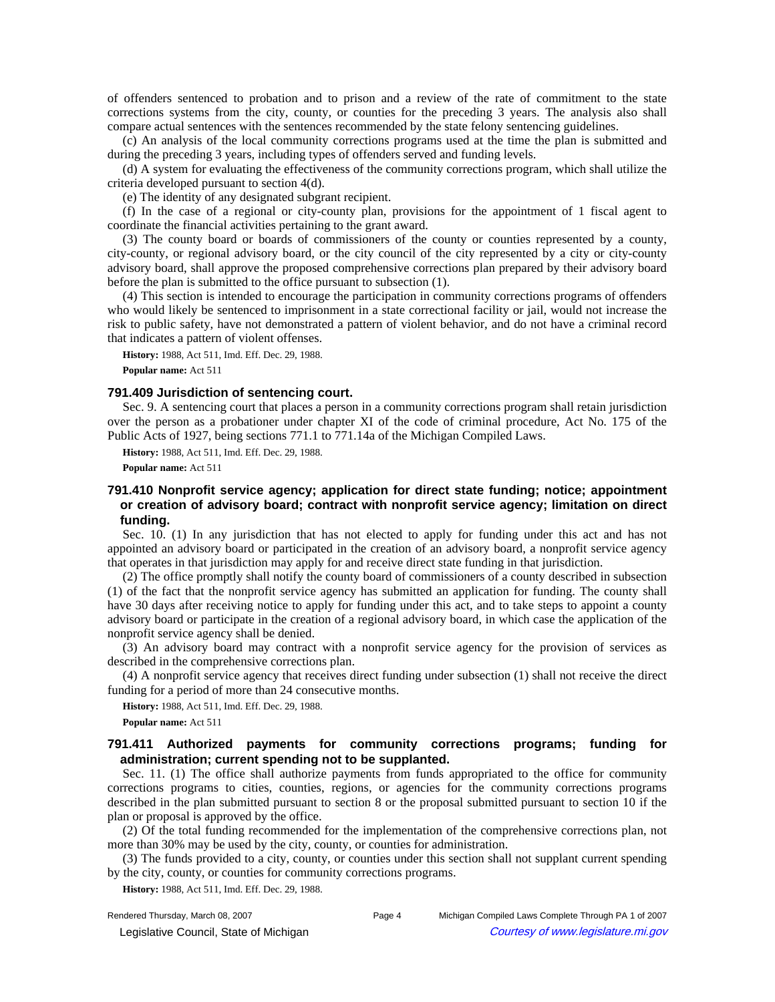of offenders sentenced to probation and to prison and a review of the rate of commitment to the state corrections systems from the city, county, or counties for the preceding 3 years. The analysis also shall compare actual sentences with the sentences recommended by the state felony sentencing guidelines.

(c) An analysis of the local community corrections programs used at the time the plan is submitted and during the preceding 3 years, including types of offenders served and funding levels.

(d) A system for evaluating the effectiveness of the community corrections program, which shall utilize the criteria developed pursuant to section 4(d).

(e) The identity of any designated subgrant recipient.

(f) In the case of a regional or city-county plan, provisions for the appointment of 1 fiscal agent to coordinate the financial activities pertaining to the grant award.

(3) The county board or boards of commissioners of the county or counties represented by a county, city-county, or regional advisory board, or the city council of the city represented by a city or city-county advisory board, shall approve the proposed comprehensive corrections plan prepared by their advisory board before the plan is submitted to the office pursuant to subsection (1).

(4) This section is intended to encourage the participation in community corrections programs of offenders who would likely be sentenced to imprisonment in a state correctional facility or jail, would not increase the risk to public safety, have not demonstrated a pattern of violent behavior, and do not have a criminal record that indicates a pattern of violent offenses.

**History:** 1988, Act 511, Imd. Eff. Dec. 29, 1988.

**Popular name:** Act 511

### **791.409 Jurisdiction of sentencing court.**

Sec. 9. A sentencing court that places a person in a community corrections program shall retain jurisdiction over the person as a probationer under chapter XI of the code of criminal procedure, Act No. 175 of the Public Acts of 1927, being sections 771.1 to 771.14a of the Michigan Compiled Laws.

**History:** 1988, Act 511, Imd. Eff. Dec. 29, 1988.

**Popular name:** Act 511

# **791.410 Nonprofit service agency; application for direct state funding; notice; appointment or creation of advisory board; contract with nonprofit service agency; limitation on direct funding.**

Sec. 10. (1) In any jurisdiction that has not elected to apply for funding under this act and has not appointed an advisory board or participated in the creation of an advisory board, a nonprofit service agency that operates in that jurisdiction may apply for and receive direct state funding in that jurisdiction.

(2) The office promptly shall notify the county board of commissioners of a county described in subsection (1) of the fact that the nonprofit service agency has submitted an application for funding. The county shall have 30 days after receiving notice to apply for funding under this act, and to take steps to appoint a county advisory board or participate in the creation of a regional advisory board, in which case the application of the nonprofit service agency shall be denied.

(3) An advisory board may contract with a nonprofit service agency for the provision of services as described in the comprehensive corrections plan.

(4) A nonprofit service agency that receives direct funding under subsection (1) shall not receive the direct funding for a period of more than 24 consecutive months.

**History:** 1988, Act 511, Imd. Eff. Dec. 29, 1988.

**Popular name:** Act 511

# **791.411 Authorized payments for community corrections programs; funding for administration; current spending not to be supplanted.**

Sec. 11. (1) The office shall authorize payments from funds appropriated to the office for community corrections programs to cities, counties, regions, or agencies for the community corrections programs described in the plan submitted pursuant to section 8 or the proposal submitted pursuant to section 10 if the plan or proposal is approved by the office.

(2) Of the total funding recommended for the implementation of the comprehensive corrections plan, not more than 30% may be used by the city, county, or counties for administration.

(3) The funds provided to a city, county, or counties under this section shall not supplant current spending by the city, county, or counties for community corrections programs.

**History:** 1988, Act 511, Imd. Eff. Dec. 29, 1988.